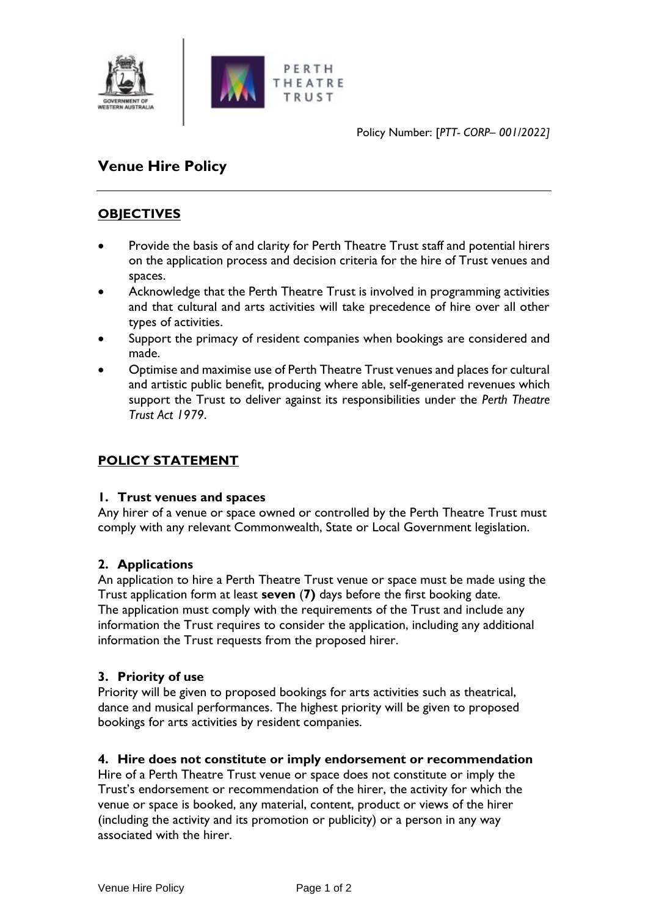

Policy Number: [*PTT- CORP– 001/2022]*

# **Venue Hire Policy**

## **OBJECTIVES**

- Provide the basis of and clarity for Perth Theatre Trust staff and potential hirers on the application process and decision criteria for the hire of Trust venues and spaces.
- Acknowledge that the Perth Theatre Trust is involved in programming activities and that cultural and arts activities will take precedence of hire over all other types of activities.
- Support the primacy of resident companies when bookings are considered and made.
- Optimise and maximise use of Perth Theatre Trust venues and places for cultural and artistic public benefit, producing where able, self-generated revenues which support the Trust to deliver against its responsibilities under the *Perth Theatre Trust Act 1979*.

## **POLICY STATEMENT**

#### **1. Trust venues and spaces**

Any hirer of a venue or space owned or controlled by the Perth Theatre Trust must comply with any relevant Commonwealth, State or Local Government legislation.

## **2. Applications**

An application to hire a Perth Theatre Trust venue or space must be made using the Trust application form at least **seven** (**7)** days before the first booking date. The application must comply with the requirements of the Trust and include any information the Trust requires to consider the application, including any additional information the Trust requests from the proposed hirer.

#### **3. Priority of use**

Priority will be given to proposed bookings for arts activities such as theatrical, dance and musical performances. The highest priority will be given to proposed bookings for arts activities by resident companies.

#### **4. Hire does not constitute or imply endorsement or recommendation**

Hire of a Perth Theatre Trust venue or space does not constitute or imply the Trust's endorsement or recommendation of the hirer, the activity for which the venue or space is booked, any material, content, product or views of the hirer (including the activity and its promotion or publicity) or a person in any way associated with the hirer.